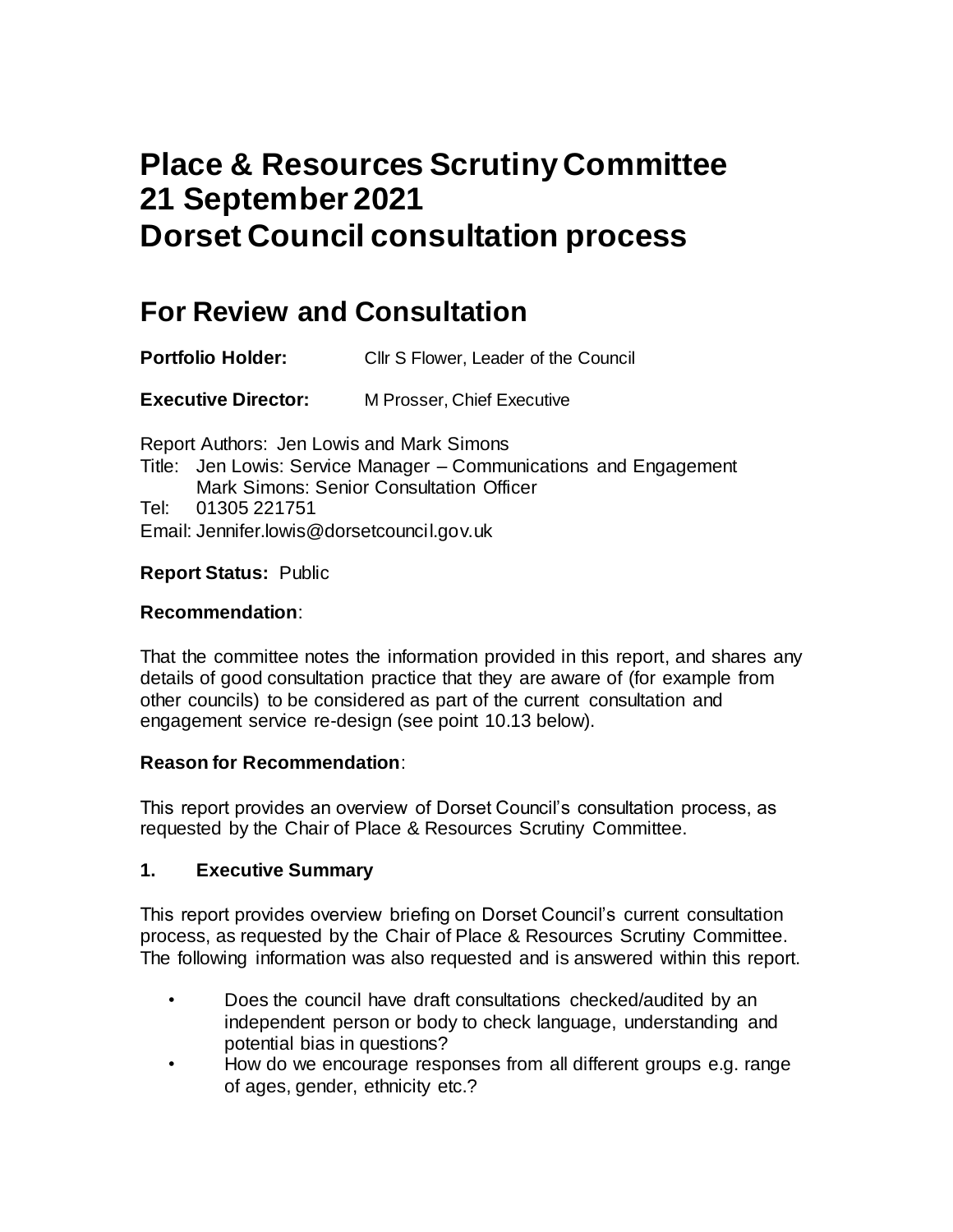# **Place & Resources Scrutiny Committee 21 September 2021 Dorset Council consultation process**

## **For Review and Consultation**

**Portfolio Holder:** Cllr S Flower, Leader of the Council

**Executive Director:** M Prosser, Chief Executive

Report Authors: Jen Lowis and Mark Simons Title: Jen Lowis: Service Manager – Communications and Engagement Mark Simons: Senior Consultation Officer Tel: 01305 221751 Email: Jennifer.lowis@dorsetcouncil.gov.uk

#### **Report Status:** Public

#### **Recommendation**:

That the committee notes the information provided in this report, and shares any details of good consultation practice that they are aware of (for example from other councils) to be considered as part of the current consultation and engagement service re-design (see point 10.13 below).

#### **Reason for Recommendation**:

This report provides an overview of Dorset Council's consultation process, as requested by the Chair of Place & Resources Scrutiny Committee.

#### **1. Executive Summary**

This report provides overview briefing on Dorset Council's current consultation process, as requested by the Chair of Place & Resources Scrutiny Committee. The following information was also requested and is answered within this report.

- Does the council have draft consultations checked/audited by an independent person or body to check language, understanding and potential bias in questions?
- How do we encourage responses from all different groups e.g. range of ages, gender, ethnicity etc.?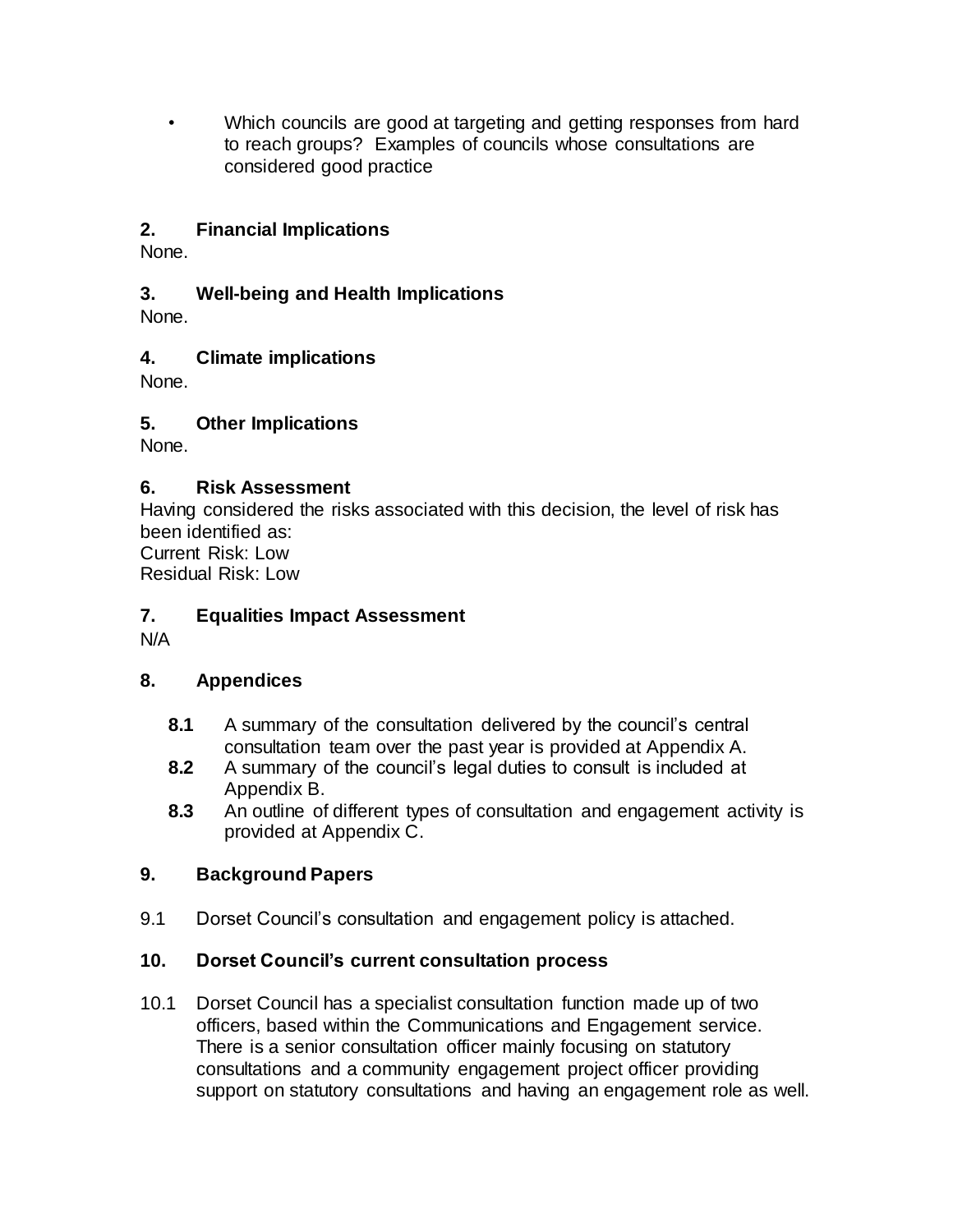• Which councils are good at targeting and getting responses from hard to reach groups? Examples of councils whose consultations are considered good practice

## **2. Financial Implications**

None.

## **3. Well-being and Health Implications**

None.

## **4. Climate implications**

None.

## **5. Other Implications**

None.

## **6. Risk Assessment**

Having considered the risks associated with this decision, the level of risk has been identified as: Current Risk: Low

Residual Risk: Low

## **7. Equalities Impact Assessment**

N/A

## **8. Appendices**

- **8.1** A summary of the consultation delivered by the council's central consultation team over the past year is provided at Appendix A.
- **8.2** A summary of the council's legal duties to consult is included at Appendix B.
- **8.3** An outline of different types of consultation and engagement activity is provided at Appendix C.

## **9. Background Papers**

9.1 Dorset Council's consultation and engagement policy is attached.

## **10. Dorset Council's current consultation process**

10.1 Dorset Council has a specialist consultation function made up of two officers, based within the Communications and Engagement service. There is a senior consultation officer mainly focusing on statutory consultations and a community engagement project officer providing support on statutory consultations and having an engagement role as well.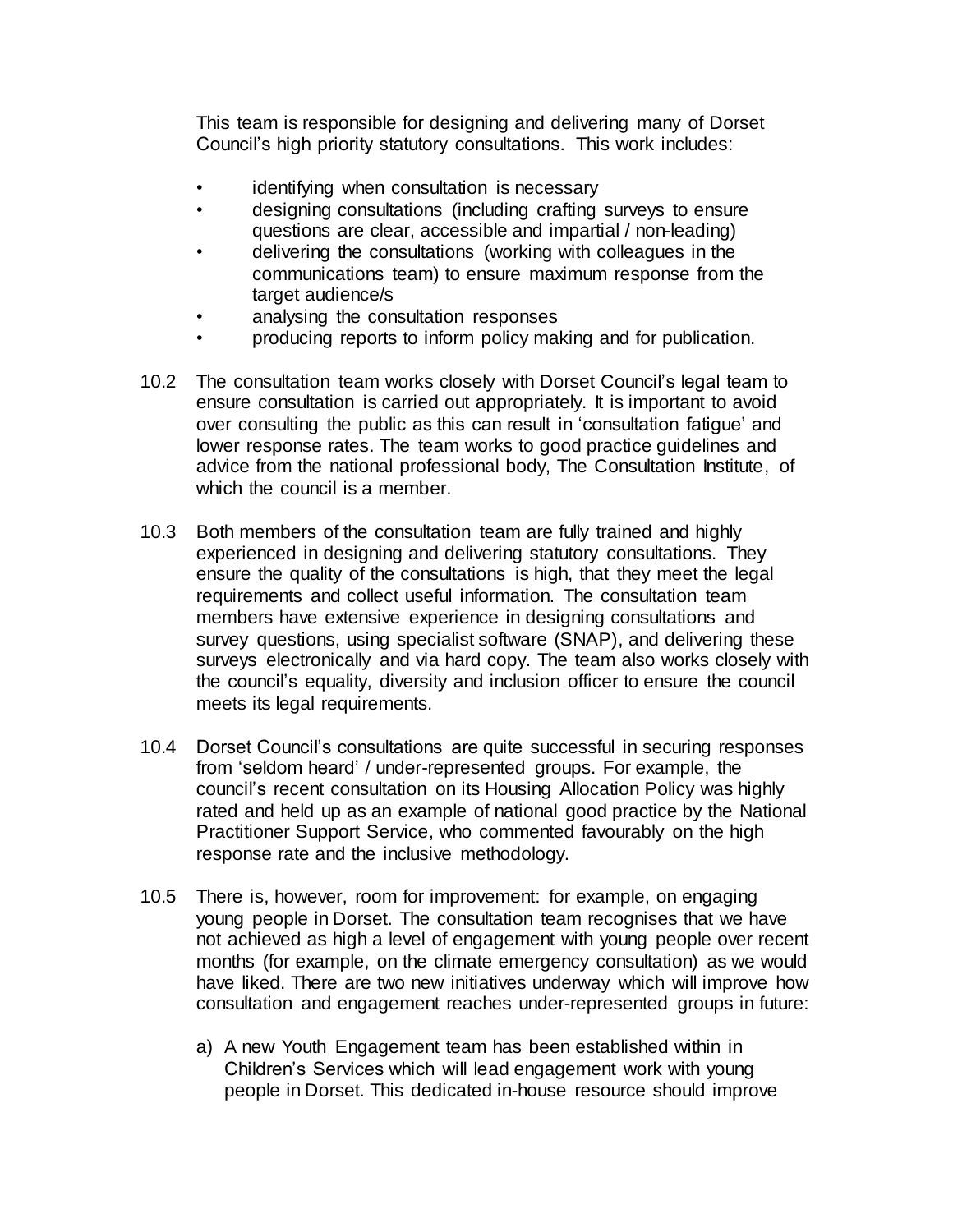This team is responsible for designing and delivering many of Dorset Council's high priority statutory consultations. This work includes:

- identifying when consultation is necessary
- designing consultations (including crafting surveys to ensure questions are clear, accessible and impartial / non-leading)
- delivering the consultations (working with colleagues in the communications team) to ensure maximum response from the target audience/s
- analysing the consultation responses
- producing reports to inform policy making and for publication.
- 10.2 The consultation team works closely with Dorset Council's legal team to ensure consultation is carried out appropriately. It is important to avoid over consulting the public as this can result in 'consultation fatigue' and lower response rates. The team works to good practice guidelines and advice from the national professional body, The Consultation Institute, of which the council is a member.
- 10.3 Both members of the consultation team are fully trained and highly experienced in designing and delivering statutory consultations. They ensure the quality of the consultations is high, that they meet the legal requirements and collect useful information. The consultation team members have extensive experience in designing consultations and survey questions, using specialist software (SNAP), and delivering these surveys electronically and via hard copy. The team also works closely with the council's equality, diversity and inclusion officer to ensure the council meets its legal requirements.
- 10.4 Dorset Council's consultations are quite successful in securing responses from 'seldom heard' / under-represented groups. For example, the council's recent consultation on its Housing Allocation Policy was highly rated and held up as an example of national good practice by the National Practitioner Support Service, who commented favourably on the high response rate and the inclusive methodology.
- 10.5 There is, however, room for improvement: for example, on engaging young people in Dorset. The consultation team recognises that we have not achieved as high a level of engagement with young people over recent months (for example, on the climate emergency consultation) as we would have liked. There are two new initiatives underway which will improve how consultation and engagement reaches under-represented groups in future:
	- a) A new Youth Engagement team has been established within in Children's Services which will lead engagement work with young people in Dorset. This dedicated in-house resource should improve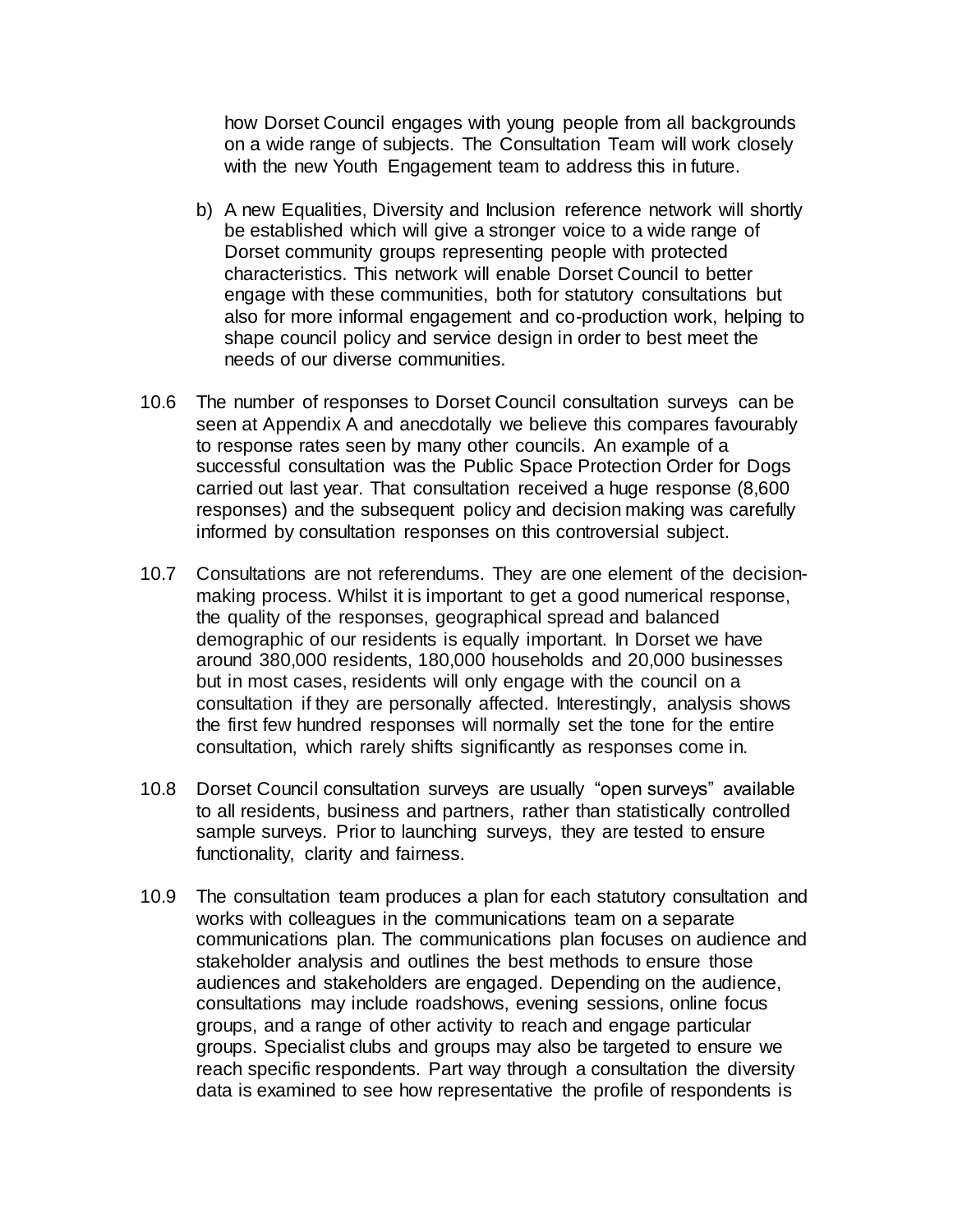how Dorset Council engages with young people from all backgrounds on a wide range of subjects. The Consultation Team will work closely with the new Youth Engagement team to address this in future.

- b) A new Equalities, Diversity and Inclusion reference network will shortly be established which will give a stronger voice to a wide range of Dorset community groups representing people with protected characteristics. This network will enable Dorset Council to better engage with these communities, both for statutory consultations but also for more informal engagement and co-production work, helping to shape council policy and service design in order to best meet the needs of our diverse communities.
- 10.6 The number of responses to Dorset Council consultation surveys can be seen at Appendix A and anecdotally we believe this compares favourably to response rates seen by many other councils. An example of a successful consultation was the Public Space Protection Order for Dogs carried out last year. That consultation received a huge response (8,600 responses) and the subsequent policy and decision making was carefully informed by consultation responses on this controversial subject.
- 10.7 Consultations are not referendums. They are one element of the decisionmaking process. Whilst it is important to get a good numerical response, the quality of the responses, geographical spread and balanced demographic of our residents is equally important. In Dorset we have around 380,000 residents, 180,000 households and 20,000 businesses but in most cases, residents will only engage with the council on a consultation if they are personally affected. Interestingly, analysis shows the first few hundred responses will normally set the tone for the entire consultation, which rarely shifts significantly as responses come in.
- 10.8 Dorset Council consultation surveys are usually "open surveys" available to all residents, business and partners, rather than statistically controlled sample surveys. Prior to launching surveys, they are tested to ensure functionality, clarity and fairness.
- 10.9 The consultation team produces a plan for each statutory consultation and works with colleagues in the communications team on a separate communications plan. The communications plan focuses on audience and stakeholder analysis and outlines the best methods to ensure those audiences and stakeholders are engaged. Depending on the audience, consultations may include roadshows, evening sessions, online focus groups, and a range of other activity to reach and engage particular groups. Specialist clubs and groups may also be targeted to ensure we reach specific respondents. Part way through a consultation the diversity data is examined to see how representative the profile of respondents is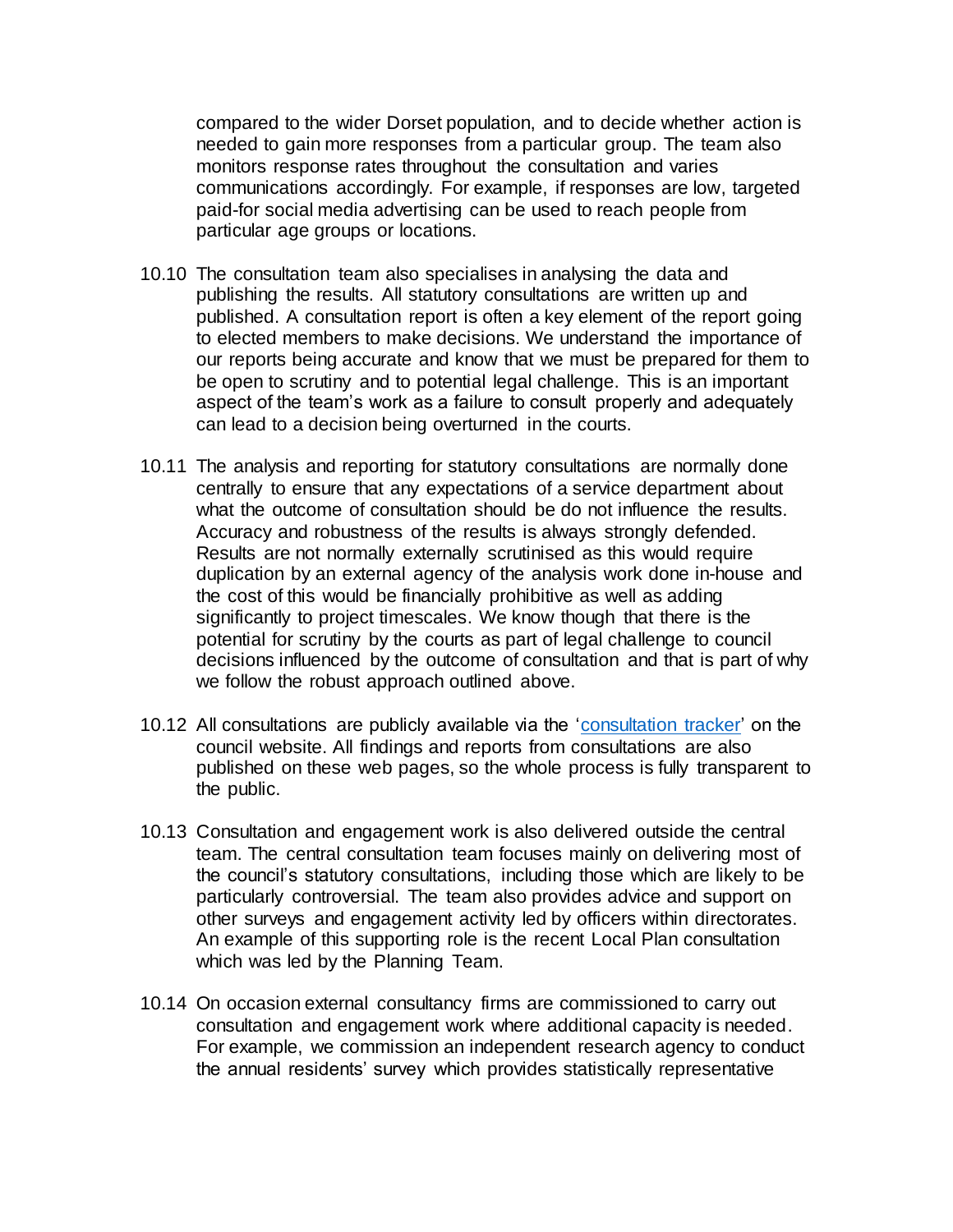compared to the wider Dorset population, and to decide whether action is needed to gain more responses from a particular group. The team also monitors response rates throughout the consultation and varies communications accordingly. For example, if responses are low, targeted paid-for social media advertising can be used to reach people from particular age groups or locations.

- 10.10 The consultation team also specialises in analysing the data and publishing the results. All statutory consultations are written up and published. A consultation report is often a key element of the report going to elected members to make decisions. We understand the importance of our reports being accurate and know that we must be prepared for them to be open to scrutiny and to potential legal challenge. This is an important aspect of the team's work as a failure to consult properly and adequately can lead to a decision being overturned in the courts.
- 10.11 The analysis and reporting for statutory consultations are normally done centrally to ensure that any expectations of a service department about what the outcome of consultation should be do not influence the results. Accuracy and robustness of the results is always strongly defended. Results are not normally externally scrutinised as this would require duplication by an external agency of the analysis work done in-house and the cost of this would be financially prohibitive as well as adding significantly to project timescales. We know though that there is the potential for scrutiny by the courts as part of legal challenge to council decisions influenced by the outcome of consultation and that is part of why we follow the robust approach outlined above.
- 10.12 All consultations are publicly available via the ['consultation tracker'](https://www.dorsetcouncil.gov.uk/your-council/consultations/find-a-consultation?p_l_back_url=%2Fsearch%3Fq%3Dconsultation) on the council website. All findings and reports from consultations are also published on these web pages, so the whole process is fully transparent to the public.
- 10.13 Consultation and engagement work is also delivered outside the central team. The central consultation team focuses mainly on delivering most of the council's statutory consultations, including those which are likely to be particularly controversial. The team also provides advice and support on other surveys and engagement activity led by officers within directorates. An example of this supporting role is the recent Local Plan consultation which was led by the Planning Team.
- 10.14 On occasion external consultancy firms are commissioned to carry out consultation and engagement work where additional capacity is needed. For example, we commission an independent research agency to conduct the annual residents' survey which provides statistically representative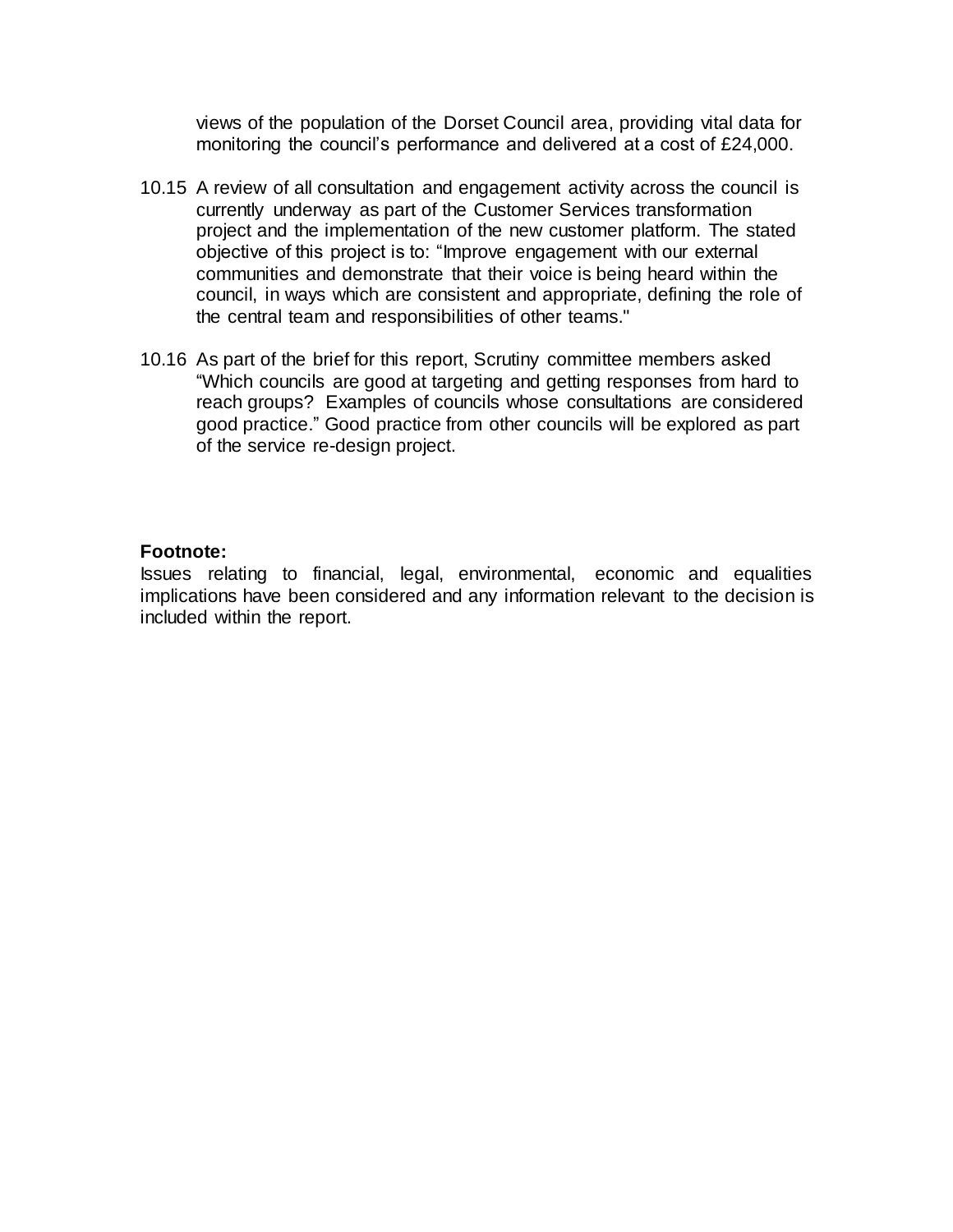views of the population of the Dorset Council area, providing vital data for monitoring the council's performance and delivered at a cost of £24,000.

- 10.15 A review of all consultation and engagement activity across the council is currently underway as part of the Customer Services transformation project and the implementation of the new customer platform. The stated objective of this project is to: "Improve engagement with our external communities and demonstrate that their voice is being heard within the council, in ways which are consistent and appropriate, defining the role of the central team and responsibilities of other teams."
- 10.16 As part of the brief for this report, Scrutiny committee members asked "Which councils are good at targeting and getting responses from hard to reach groups? Examples of councils whose consultations are considered good practice." Good practice from other councils will be explored as part of the service re-design project.

#### **Footnote:**

Issues relating to financial, legal, environmental, economic and equalities implications have been considered and any information relevant to the decision is included within the report.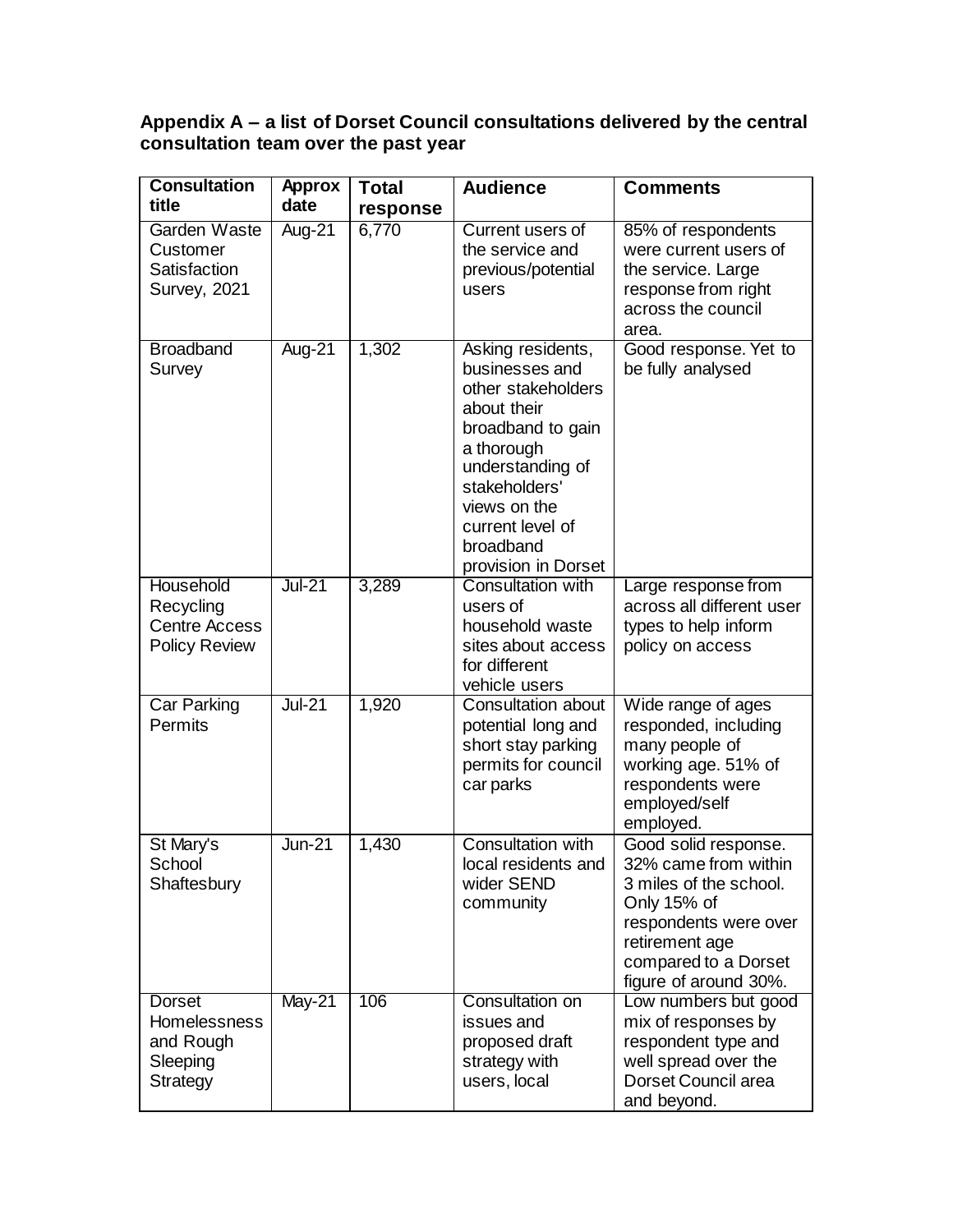#### **Appendix A – a list of Dorset Council consultations delivered by the central consultation team over the past year**

| <b>Consultation</b>                                                    | <b>Approx</b> | <b>Total</b> | <b>Audience</b>                                                                                                                                                                                                          | <b>Comments</b>                                                                                                                                                                   |
|------------------------------------------------------------------------|---------------|--------------|--------------------------------------------------------------------------------------------------------------------------------------------------------------------------------------------------------------------------|-----------------------------------------------------------------------------------------------------------------------------------------------------------------------------------|
| title                                                                  | date          | response     |                                                                                                                                                                                                                          |                                                                                                                                                                                   |
| Garden Waste<br>Customer<br>Satisfaction<br><b>Survey, 2021</b>        | Aug-21        | 6,770        | Current users of<br>the service and<br>previous/potential<br>users                                                                                                                                                       | 85% of respondents<br>were current users of<br>the service. Large<br>response from right<br>across the council<br>area.                                                           |
| <b>Broadband</b><br>Survey                                             | Aug-21        | 1,302        | Asking residents,<br>businesses and<br>other stakeholders<br>about their<br>broadband to gain<br>a thorough<br>understanding of<br>stakeholders'<br>views on the<br>current level of<br>broadband<br>provision in Dorset | Good response. Yet to<br>be fully analysed                                                                                                                                        |
| Household<br>Recycling<br><b>Centre Access</b><br><b>Policy Review</b> | $Jul-21$      | 3,289        | <b>Consultation with</b><br>users of<br>household waste<br>sites about access<br>for different<br>vehicle users                                                                                                          | Large response from<br>across all different user<br>types to help inform<br>policy on access                                                                                      |
| Car Parking<br>Permits                                                 | $Jul-21$      | 1,920        | Consultation about<br>potential long and<br>short stay parking<br>permits for council<br>car parks                                                                                                                       | Wide range of ages<br>responded, including<br>many people of<br>working age. 51% of<br>respondents were<br>employed/self<br>employed.                                             |
| St Mary's<br>School<br>Shaftesbury                                     | $Jun-21$      | 1,430        | <b>Consultation with</b><br>local residents and<br>wider SEND<br>community                                                                                                                                               | Good solid response.<br>32% came from within<br>3 miles of the school.<br>Only 15% of<br>respondents were over<br>retirement age<br>compared to a Dorset<br>figure of around 30%. |
| Dorset<br>Homelessness<br>and Rough<br>Sleeping<br>Strategy            | $May-21$      | 106          | Consultation on<br>issues and<br>proposed draft<br>strategy with<br>users, local                                                                                                                                         | Low numbers but good<br>mix of responses by<br>respondent type and<br>well spread over the<br>Dorset Council area<br>and beyond.                                                  |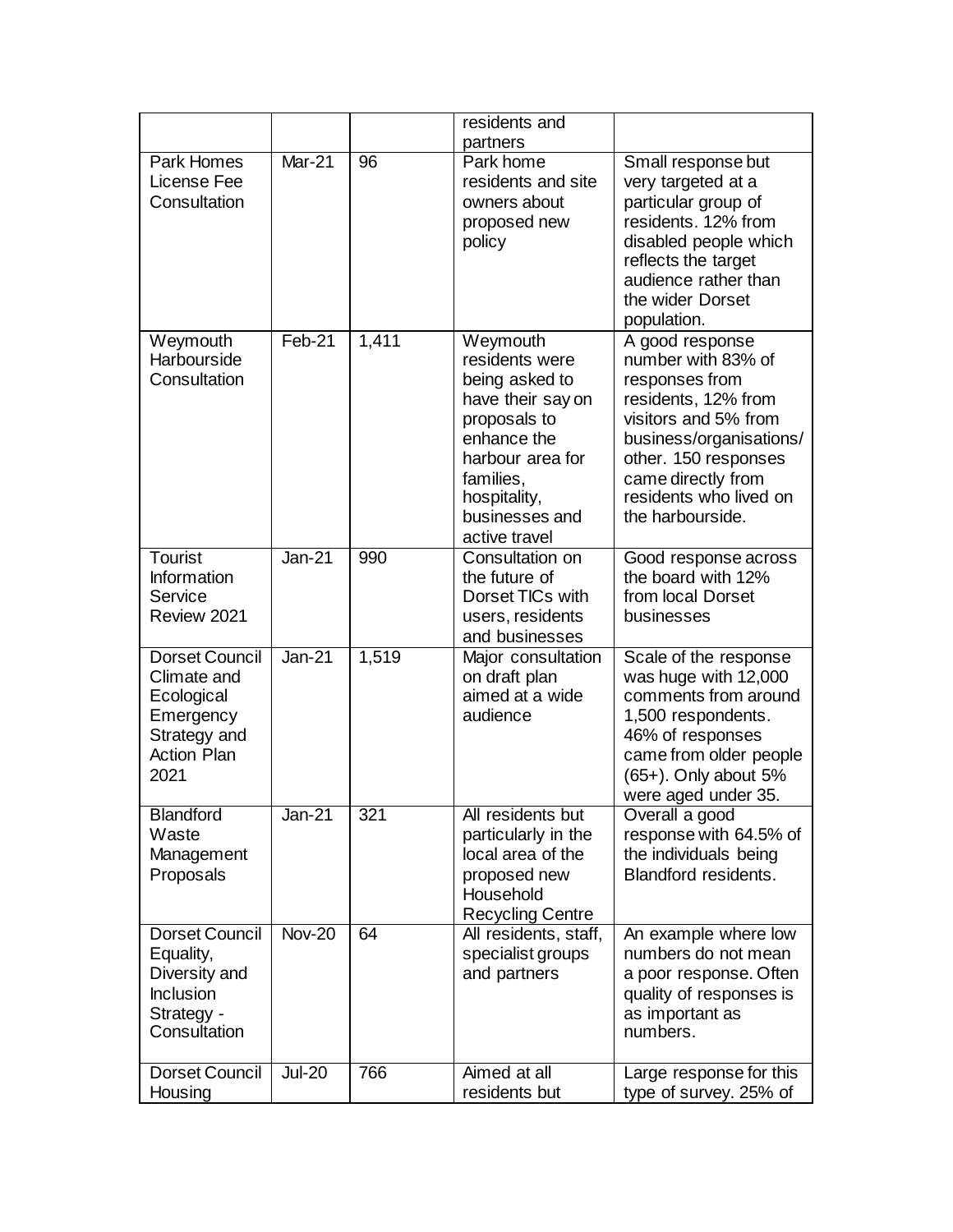|                                                                                                               |               |       | residents and                                                                                                                                                                        |                                                                                                                                                                                                                               |
|---------------------------------------------------------------------------------------------------------------|---------------|-------|--------------------------------------------------------------------------------------------------------------------------------------------------------------------------------------|-------------------------------------------------------------------------------------------------------------------------------------------------------------------------------------------------------------------------------|
|                                                                                                               |               |       | partners                                                                                                                                                                             |                                                                                                                                                                                                                               |
| Park Homes<br>License Fee<br>Consultation                                                                     | <b>Mar-21</b> | 96    | Park home<br>residents and site<br>owners about<br>proposed new<br>policy                                                                                                            | Small response but<br>very targeted at a<br>particular group of<br>residents. 12% from<br>disabled people which<br>reflects the target<br>audience rather than<br>the wider Dorset<br>population.                             |
| Weymouth<br>Harbourside<br>Consultation                                                                       | Feb-21        | 1,411 | Weymouth<br>residents were<br>being asked to<br>have their say on<br>proposals to<br>enhance the<br>harbour area for<br>families,<br>hospitality,<br>businesses and<br>active travel | A good response<br>number with 83% of<br>responses from<br>residents, 12% from<br>visitors and 5% from<br>business/organisations/<br>other. 150 responses<br>came directly from<br>residents who lived on<br>the harbourside. |
| <b>Tourist</b><br>Information<br>Service<br>Review 2021                                                       | <b>Jan-21</b> | 990   | Consultation on<br>the future of<br>Dorset TICs with<br>users, residents<br>and businesses                                                                                           | Good response across<br>the board with 12%<br>from local Dorset<br>businesses                                                                                                                                                 |
| <b>Dorset Council</b><br>Climate and<br>Ecological<br>Emergency<br>Strategy and<br><b>Action Plan</b><br>2021 | $Jan-21$      | 1,519 | Major consultation<br>on draft plan<br>aimed at a wide<br>audience                                                                                                                   | Scale of the response<br>was huge with 12,000<br>comments from around<br>1,500 respondents.<br>46% of responses<br>came from older people<br>(65+). Only about 5%<br>were aged under 35.                                      |
| <b>Blandford</b><br>Waste<br>Management<br>Proposals                                                          | Jan-21        | 321   | All residents but<br>particularly in the<br>local area of the<br>proposed new<br>Household<br><b>Recycling Centre</b>                                                                | Overall a good<br>response with 64.5% of<br>the individuals being<br><b>Blandford residents.</b>                                                                                                                              |
| <b>Dorset Council</b><br>Equality,<br>Diversity and<br><b>Inclusion</b><br>Strategy -<br>Consultation         | <b>Nov-20</b> | 64    | All residents, staff,<br>specialist groups<br>and partners                                                                                                                           | An example where low<br>numbers do not mean<br>a poor response. Often<br>quality of responses is<br>as important as<br>numbers.                                                                                               |
| <b>Dorset Council</b><br>Housing                                                                              | <b>Jul-20</b> | 766   | Aimed at all<br>residents but                                                                                                                                                        | Large response for this<br>type of survey. 25% of                                                                                                                                                                             |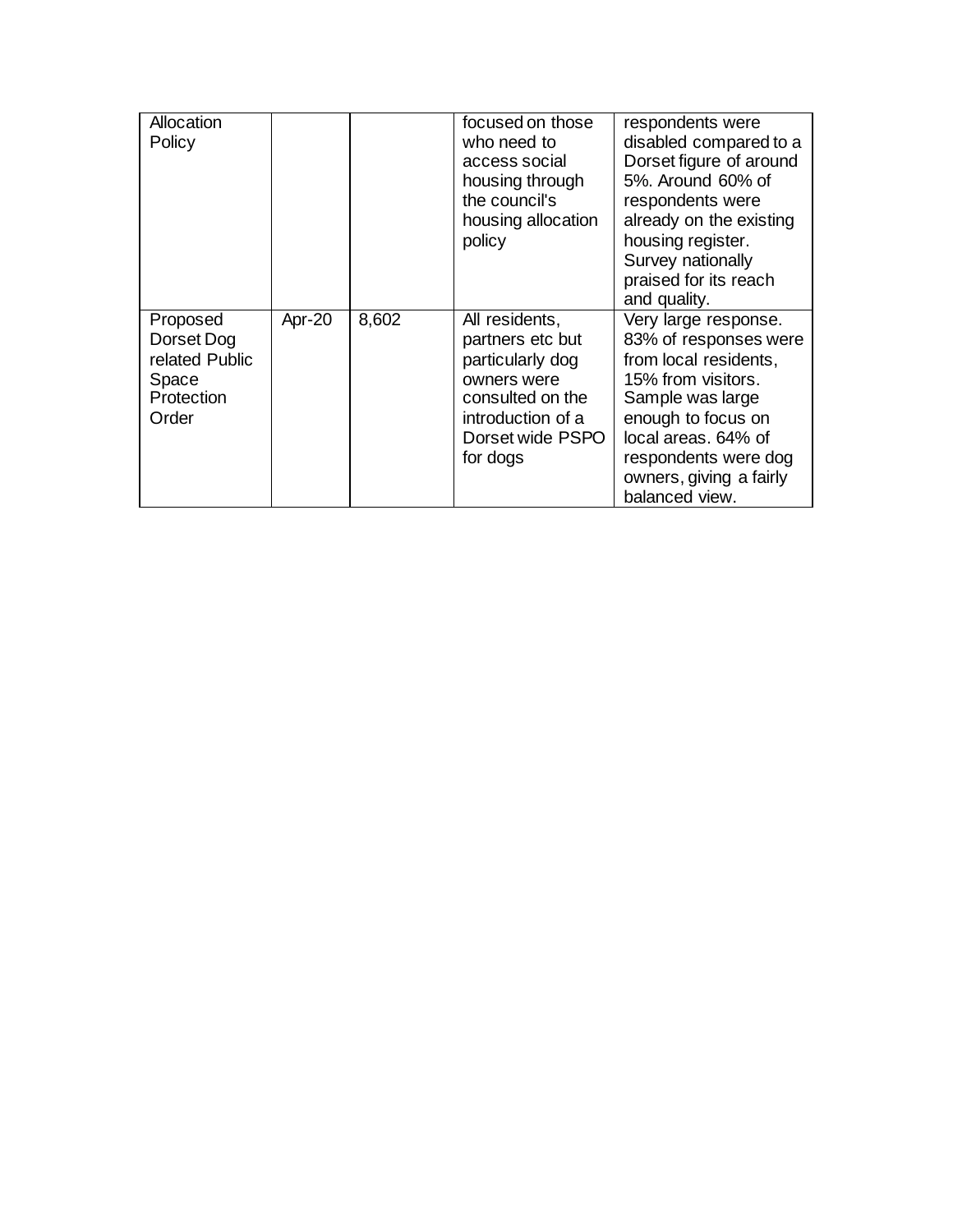| Allocation<br>Policy                                                     |        |       | focused on those<br>who need to<br>access social<br>housing through<br>the council's<br>housing allocation<br>policy                           | respondents were<br>disabled compared to a<br>Dorset figure of around<br>5%. Around 60% of<br>respondents were<br>already on the existing<br>housing register.<br>Survey nationally<br>praised for its reach<br>and quality.       |
|--------------------------------------------------------------------------|--------|-------|------------------------------------------------------------------------------------------------------------------------------------------------|------------------------------------------------------------------------------------------------------------------------------------------------------------------------------------------------------------------------------------|
| Proposed<br>Dorset Dog<br>related Public<br>Space<br>Protection<br>Order | Apr-20 | 8,602 | All residents,<br>partners etc but<br>particularly dog<br>owners were<br>consulted on the<br>introduction of a<br>Dorset wide PSPO<br>for dogs | Very large response.<br>83% of responses were<br>from local residents,<br>15% from visitors.<br>Sample was large<br>enough to focus on<br>local areas. 64% of<br>respondents were dog<br>owners, giving a fairly<br>balanced view. |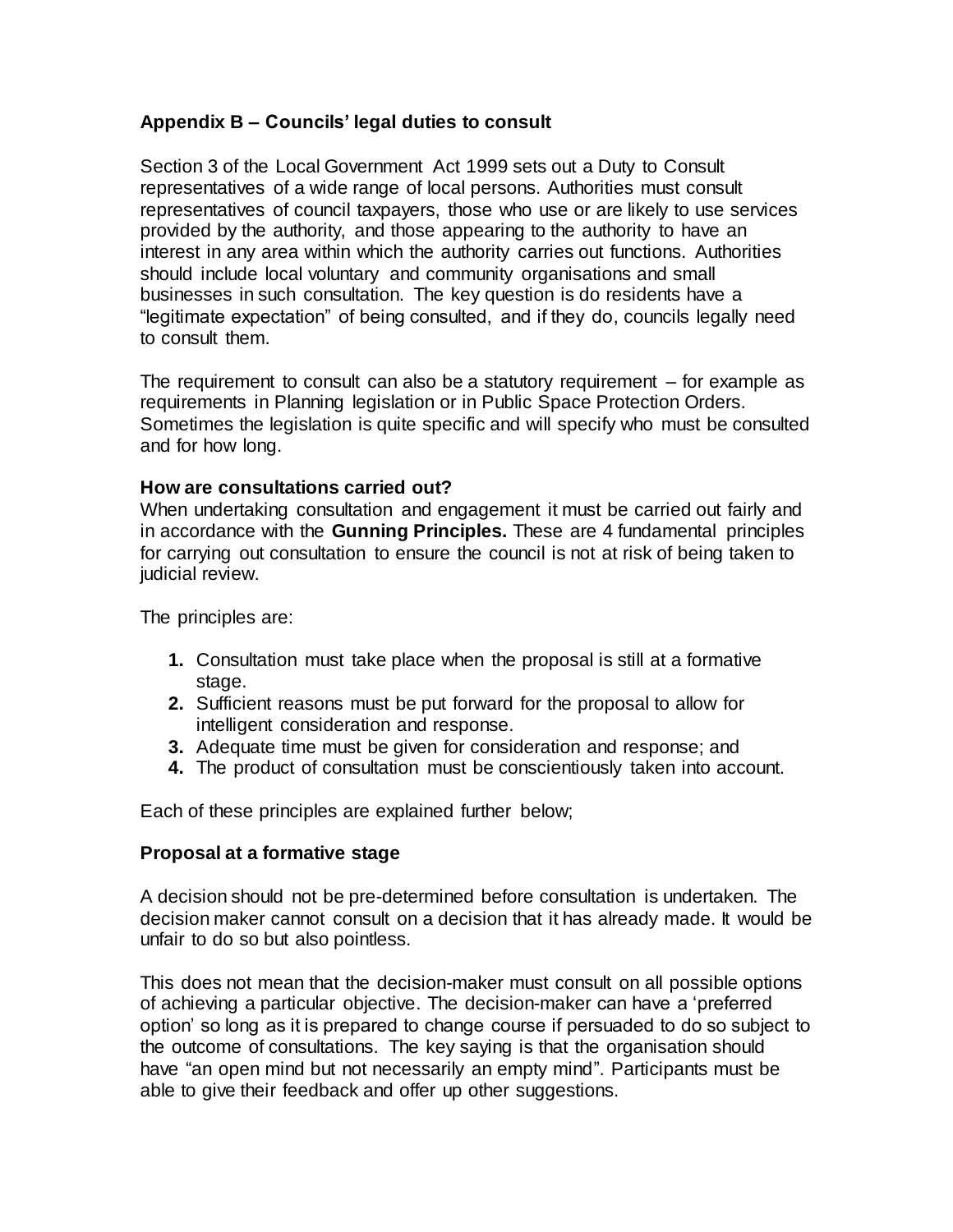## **Appendix B – Councils' legal duties to consult**

Section 3 of the Local Government Act 1999 sets out a Duty to Consult representatives of a wide range of local persons. Authorities must consult representatives of council taxpayers, those who use or are likely to use services provided by the authority, and those appearing to the authority to have an interest in any area within which the authority carries out functions. Authorities should include local voluntary and community organisations and small businesses in such consultation. The key question is do residents have a "legitimate expectation" of being consulted, and if they do, councils legally need to consult them.

The requirement to consult can also be a statutory requirement – for example as requirements in Planning legislation or in Public Space Protection Orders. Sometimes the legislation is quite specific and will specify who must be consulted and for how long.

#### **How are consultations carried out?**

When undertaking consultation and engagement it must be carried out fairly and in accordance with the **Gunning Principles.** These are 4 fundamental principles for carrying out consultation to ensure the council is not at risk of being taken to judicial review.

The principles are:

- **1.** Consultation must take place when the proposal is still at a formative stage.
- **2.** Sufficient reasons must be put forward for the proposal to allow for intelligent consideration and response.
- **3.** Adequate time must be given for consideration and response; and
- **4.** The product of consultation must be conscientiously taken into account.

Each of these principles are explained further below;

#### **Proposal at a formative stage**

A decision should not be pre-determined before consultation is undertaken. The decision maker cannot consult on a decision that it has already made. It would be unfair to do so but also pointless.

This does not mean that the decision-maker must consult on all possible options of achieving a particular objective. The decision-maker can have a 'preferred option' so long as it is prepared to change course if persuaded to do so subject to the outcome of consultations. The key saying is that the organisation should have "an open mind but not necessarily an empty mind". Participants must be able to give their feedback and offer up other suggestions.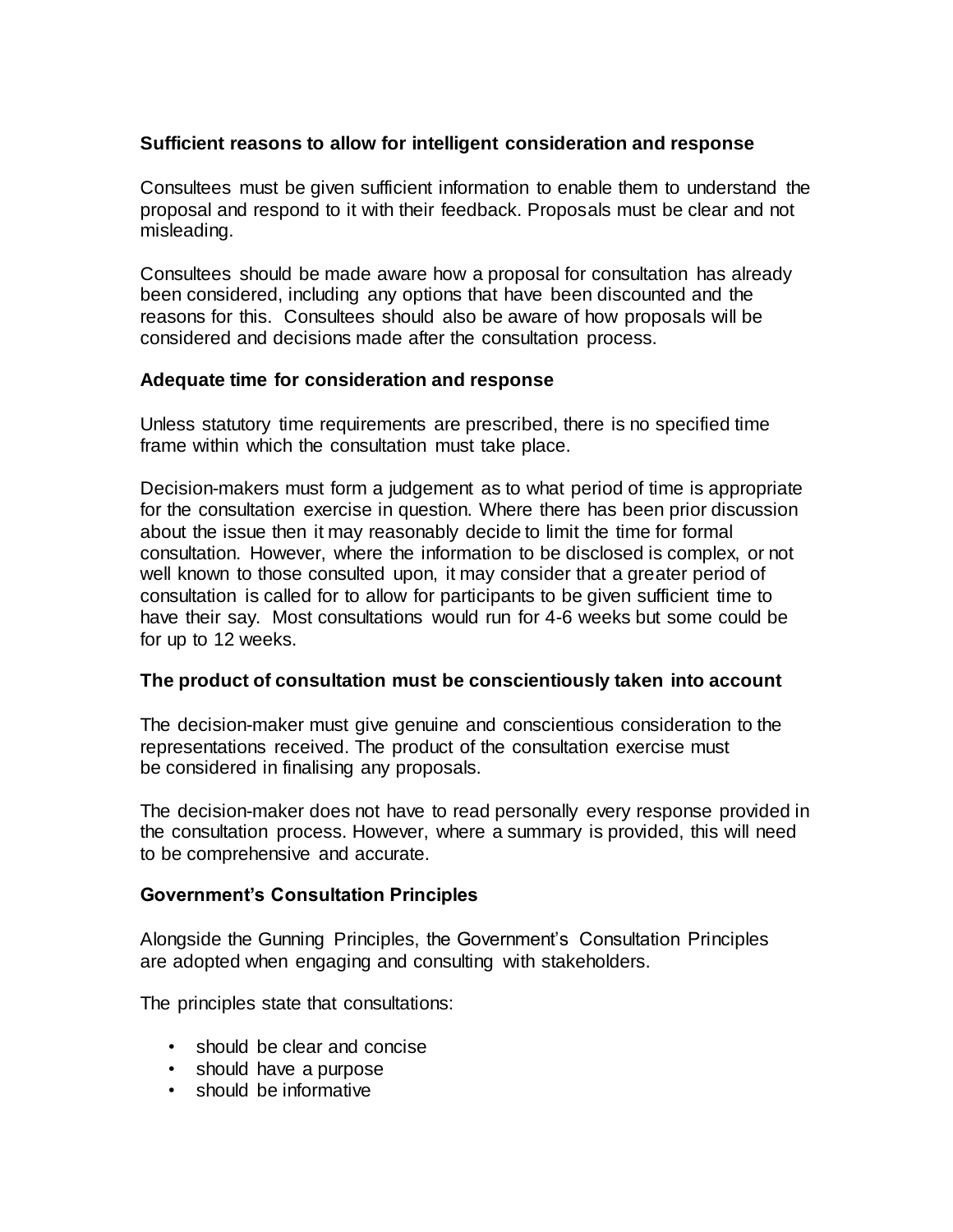#### **Sufficient reasons to allow for intelligent consideration and response**

Consultees must be given sufficient information to enable them to understand the proposal and respond to it with their feedback. Proposals must be clear and not misleading.

Consultees should be made aware how a proposal for consultation has already been considered, including any options that have been discounted and the reasons for this. Consultees should also be aware of how proposals will be considered and decisions made after the consultation process.

#### **Adequate time for consideration and response**

Unless statutory time requirements are prescribed, there is no specified time frame within which the consultation must take place.

Decision-makers must form a judgement as to what period of time is appropriate for the consultation exercise in question. Where there has been prior discussion about the issue then it may reasonably decide to limit the time for formal consultation. However, where the information to be disclosed is complex, or not well known to those consulted upon, it may consider that a greater period of consultation is called for to allow for participants to be given sufficient time to have their say. Most consultations would run for 4-6 weeks but some could be for up to 12 weeks.

#### **The product of consultation must be conscientiously taken into account**

The decision-maker must give genuine and conscientious consideration to the representations received. The product of the consultation exercise must be considered in finalising any proposals.

The decision-maker does not have to read personally every response provided in the consultation process. However, where a summary is provided, this will need to be comprehensive and accurate.

#### **Government's Consultation Principles**

Alongside the Gunning Principles, the Government's Consultation Principles are adopted when engaging and consulting with stakeholders.

The principles state that consultations:

- should be clear and concise
- should have a purpose
- should be informative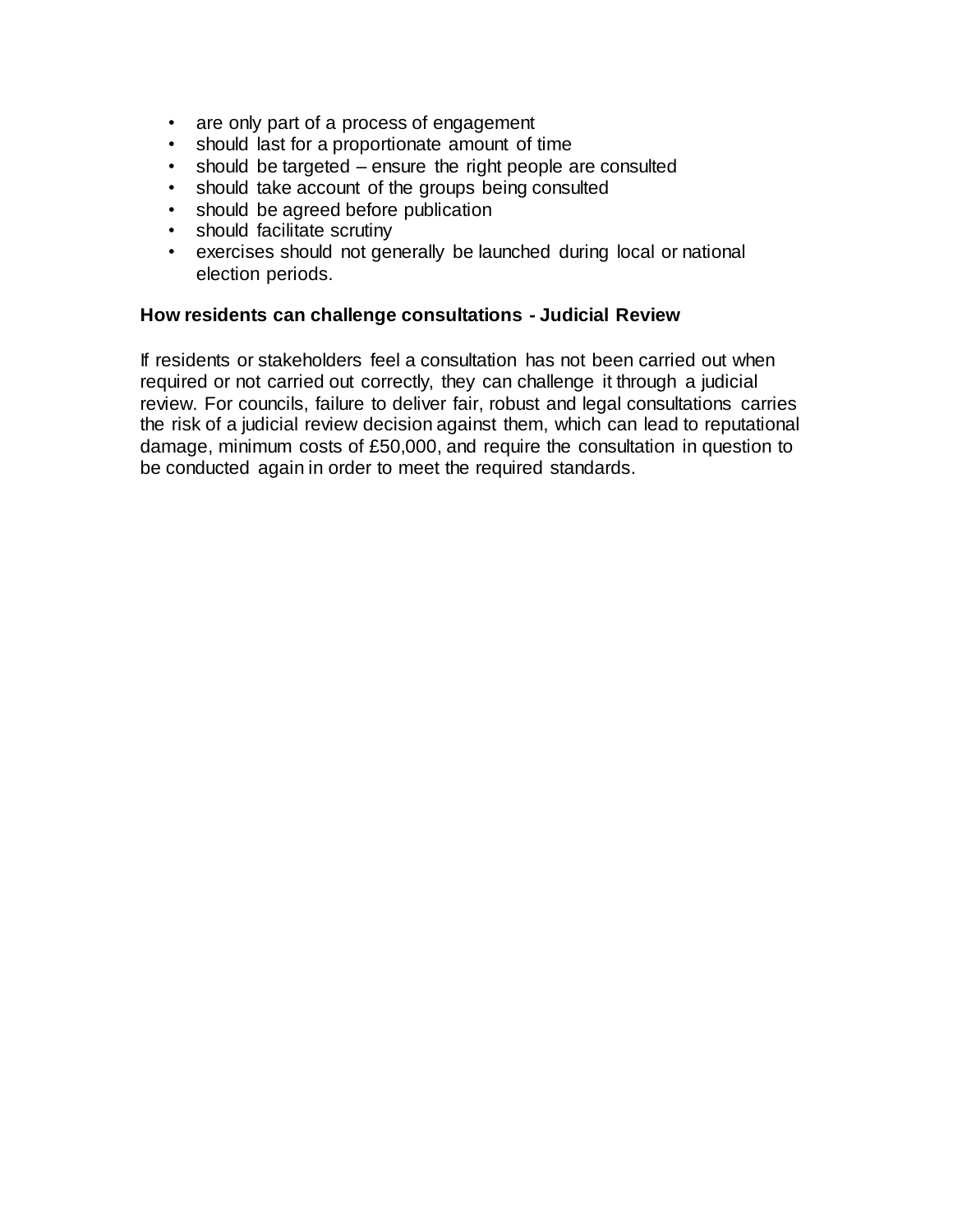- are only part of a process of engagement
- should last for a proportionate amount of time
- should be targeted ensure the right people are consulted
- should take account of the groups being consulted
- should be agreed before publication
- should facilitate scrutiny
- exercises should not generally be launched during local or national election periods.

#### **How residents can challenge consultations - Judicial Review**

If residents or stakeholders feel a consultation has not been carried out when required or not carried out correctly, they can challenge it through a judicial review. For councils, failure to deliver fair, robust and legal consultations carries the risk of a judicial review decision against them, which can lead to reputational damage, minimum costs of £50,000, and require the consultation in question to be conducted again in order to meet the required standards.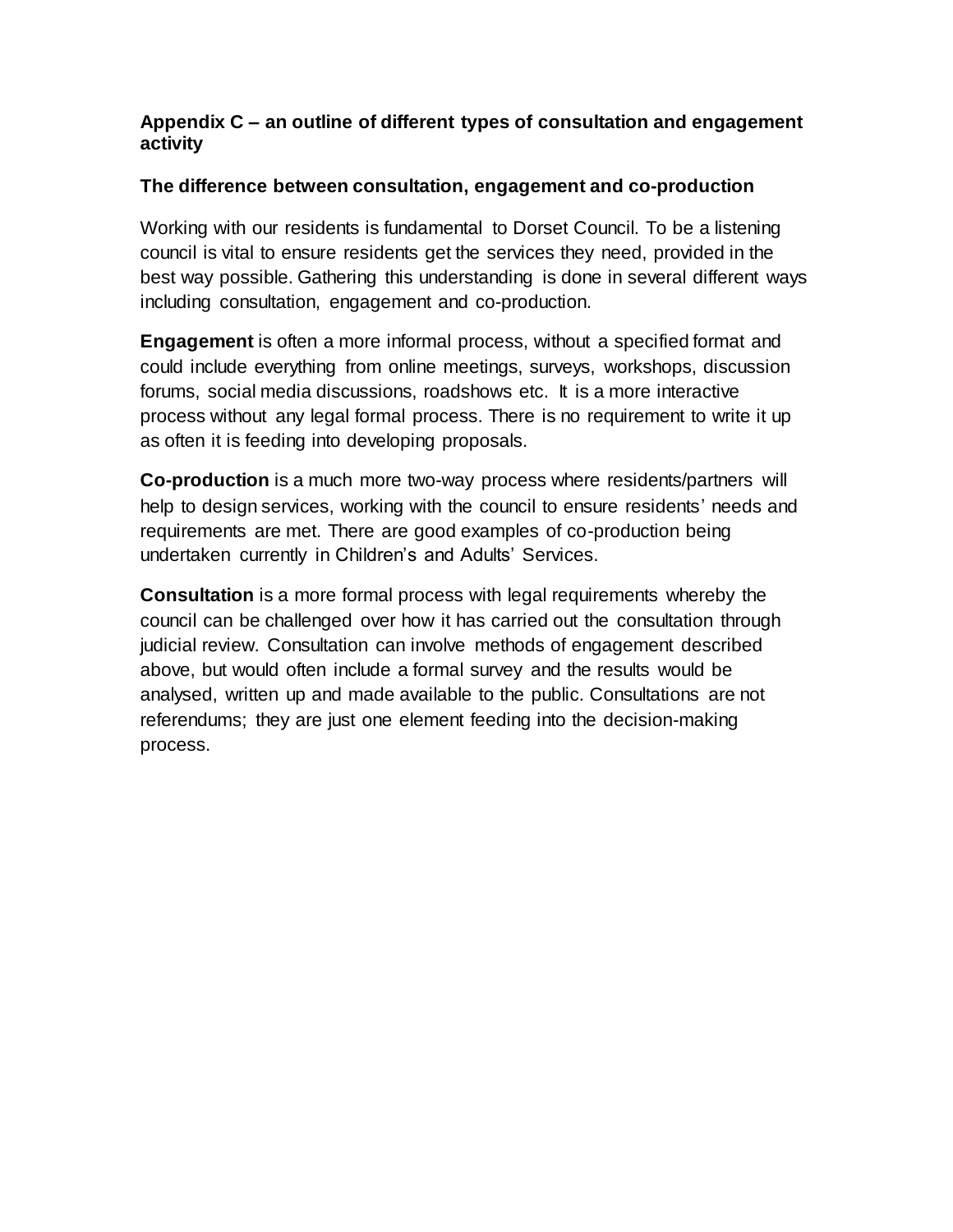## **Appendix C – an outline of different types of consultation and engagement activity**

## **The difference between consultation, engagement and co-production**

Working with our residents is fundamental to Dorset Council. To be a listening council is vital to ensure residents get the services they need, provided in the best way possible. Gathering this understanding is done in several different ways including consultation, engagement and co-production.

**Engagement** is often a more informal process, without a specified format and could include everything from online meetings, surveys, workshops, discussion forums, social media discussions, roadshows etc. It is a more interactive process without any legal formal process. There is no requirement to write it up as often it is feeding into developing proposals.

**Co-production** is a much more two-way process where residents/partners will help to design services, working with the council to ensure residents' needs and requirements are met. There are good examples of co-production being undertaken currently in Children's and Adults' Services.

**Consultation** is a more formal process with legal requirements whereby the council can be challenged over how it has carried out the consultation through judicial review. Consultation can involve methods of engagement described above, but would often include a formal survey and the results would be analysed, written up and made available to the public. Consultations are not referendums; they are just one element feeding into the decision-making process.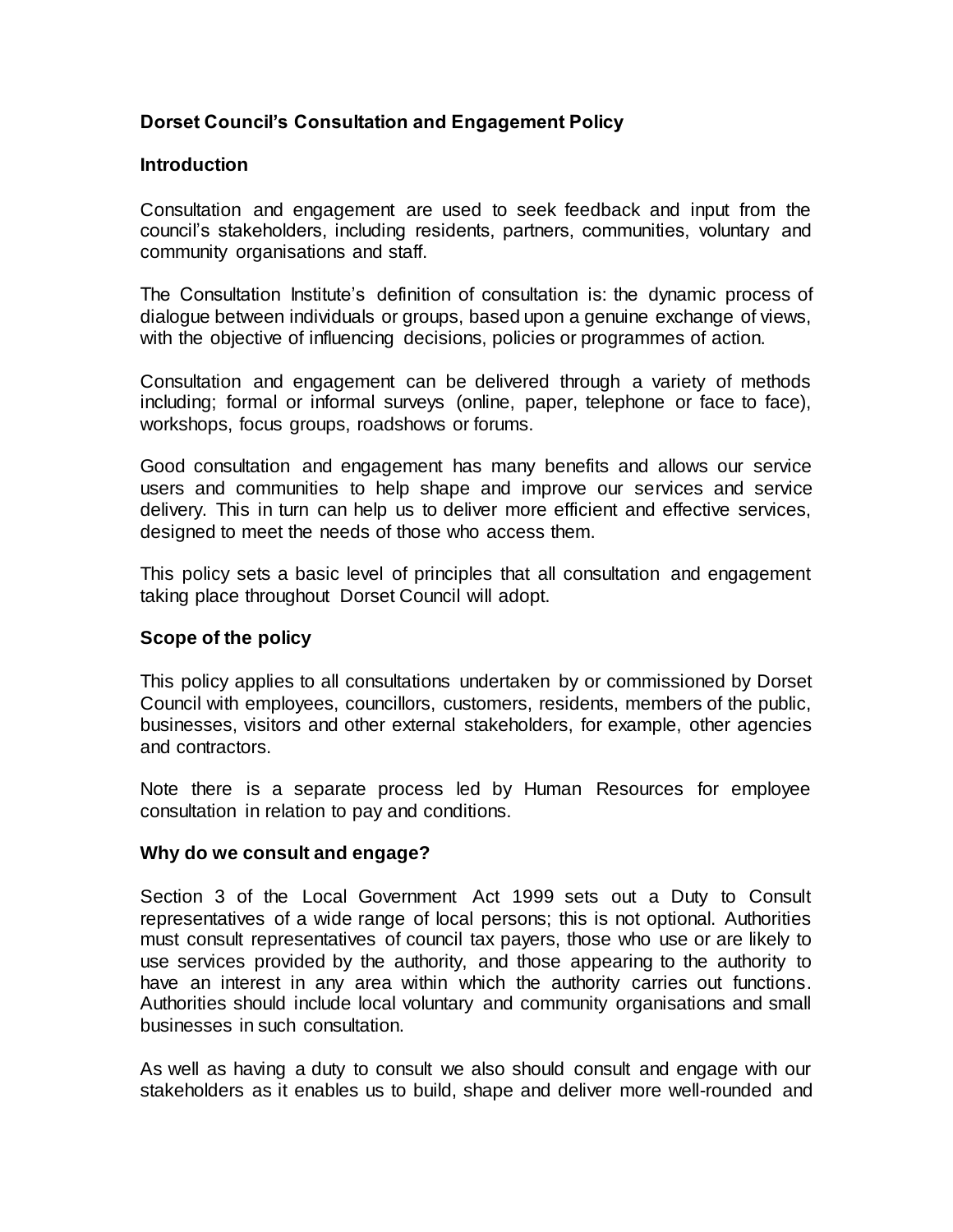## **Dorset Council's Consultation and Engagement Policy**

#### **Introduction**

Consultation and engagement are used to seek feedback and input from the council's stakeholders, including residents, partners, communities, voluntary and community organisations and staff.

The Consultation Institute's definition of consultation is: the dynamic process of dialogue between individuals or groups, based upon a genuine exchange of views, with the objective of influencing decisions, policies or programmes of action.

Consultation and engagement can be delivered through a variety of methods including; formal or informal surveys (online, paper, telephone or face to face), workshops, focus groups, roadshows or forums.

Good consultation and engagement has many benefits and allows our service users and communities to help shape and improve our services and service delivery. This in turn can help us to deliver more efficient and effective services, designed to meet the needs of those who access them.

This policy sets a basic level of principles that all consultation and engagement taking place throughout Dorset Council will adopt.

#### **Scope of the policy**

This policy applies to all consultations undertaken by or commissioned by Dorset Council with employees, councillors, customers, residents, members of the public, businesses, visitors and other external stakeholders, for example, other agencies and contractors.

Note there is a separate process led by Human Resources for employee consultation in relation to pay and conditions.

#### **Why do we consult and engage?**

Section 3 of the Local Government Act 1999 sets out a Duty to Consult representatives of a wide range of local persons; this is not optional. Authorities must consult representatives of council tax payers, those who use or are likely to use services provided by the authority, and those appearing to the authority to have an interest in any area within which the authority carries out functions. Authorities should include local voluntary and community organisations and small businesses in such consultation.

As well as having a duty to consult we also should consult and engage with our stakeholders as it enables us to build, shape and deliver more well-rounded and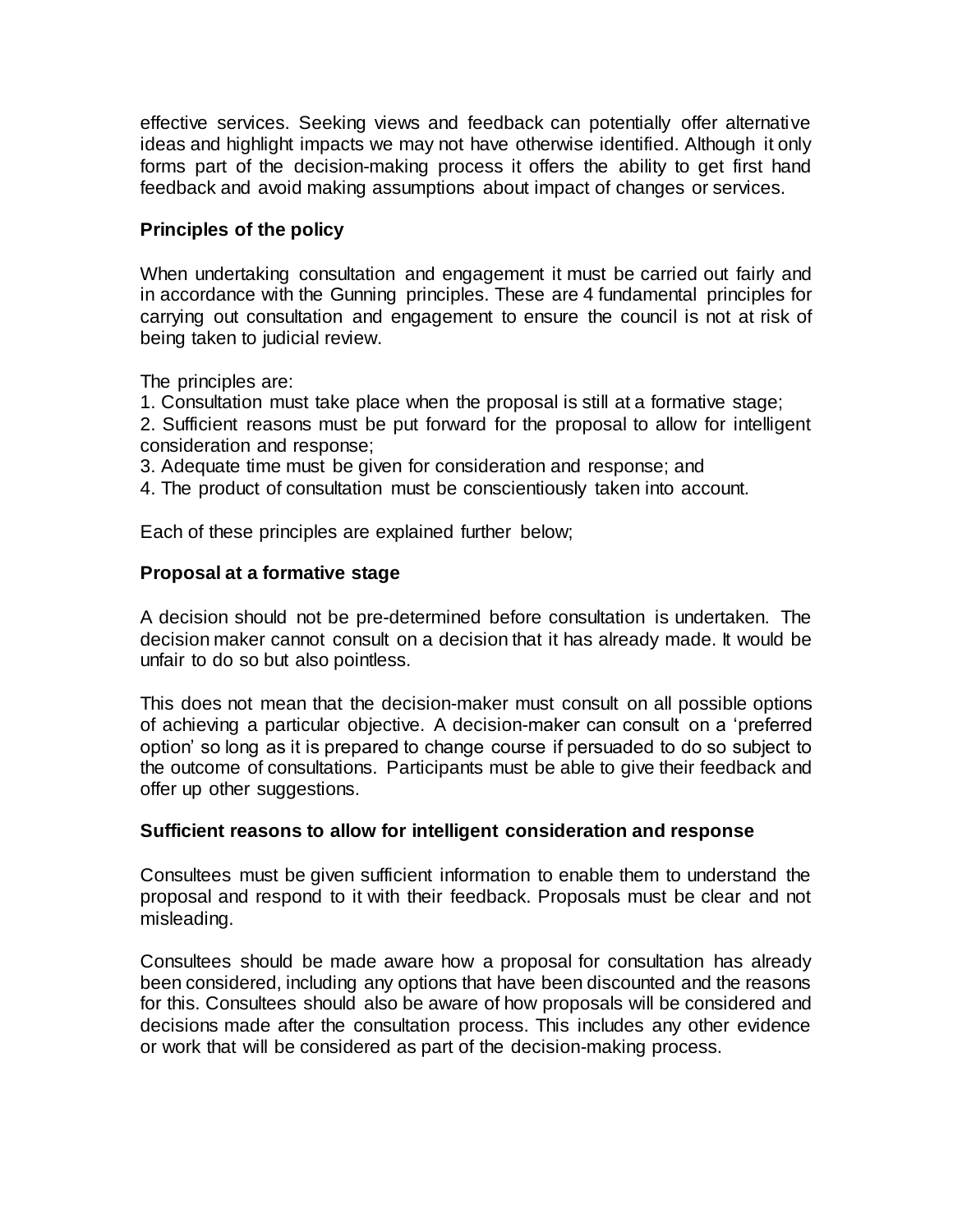effective services. Seeking views and feedback can potentially offer alternative ideas and highlight impacts we may not have otherwise identified. Although it only forms part of the decision-making process it offers the ability to get first hand feedback and avoid making assumptions about impact of changes or services.

#### **Principles of the policy**

When undertaking consultation and engagement it must be carried out fairly and in accordance with the Gunning principles. These are 4 fundamental principles for carrying out consultation and engagement to ensure the council is not at risk of being taken to judicial review.

The principles are:

1. Consultation must take place when the proposal is still at a formative stage;

2. Sufficient reasons must be put forward for the proposal to allow for intelligent consideration and response;

3. Adequate time must be given for consideration and response; and

4. The product of consultation must be conscientiously taken into account.

Each of these principles are explained further below;

#### **Proposal at a formative stage**

A decision should not be pre-determined before consultation is undertaken. The decision maker cannot consult on a decision that it has already made. It would be unfair to do so but also pointless.

This does not mean that the decision-maker must consult on all possible options of achieving a particular objective. A decision-maker can consult on a 'preferred option' so long as it is prepared to change course if persuaded to do so subject to the outcome of consultations. Participants must be able to give their feedback and offer up other suggestions.

#### **Sufficient reasons to allow for intelligent consideration and response**

Consultees must be given sufficient information to enable them to understand the proposal and respond to it with their feedback. Proposals must be clear and not misleading.

Consultees should be made aware how a proposal for consultation has already been considered, including any options that have been discounted and the reasons for this. Consultees should also be aware of how proposals will be considered and decisions made after the consultation process. This includes any other evidence or work that will be considered as part of the decision-making process.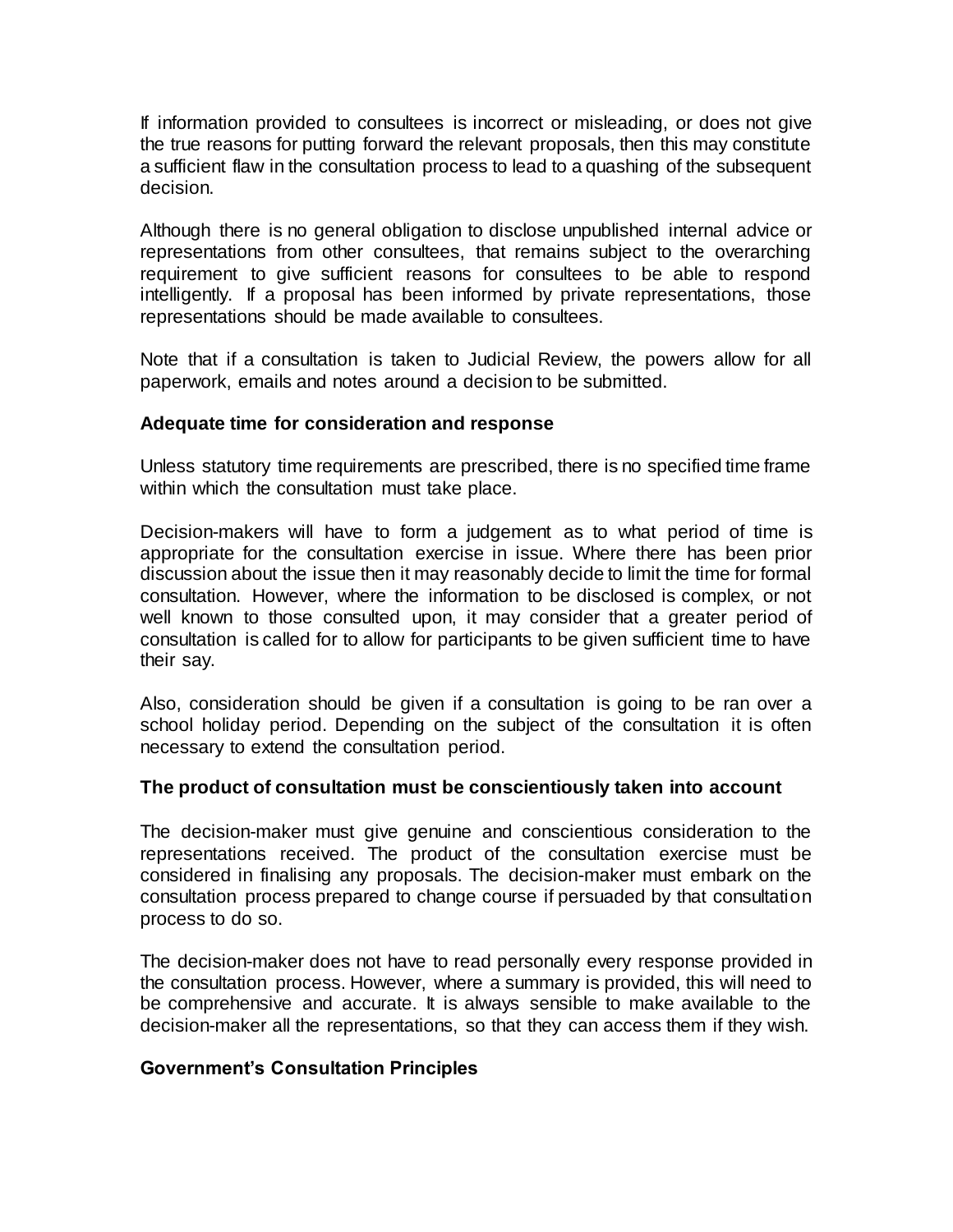If information provided to consultees is incorrect or misleading, or does not give the true reasons for putting forward the relevant proposals, then this may constitute a sufficient flaw in the consultation process to lead to a quashing of the subsequent decision.

Although there is no general obligation to disclose unpublished internal advice or representations from other consultees, that remains subject to the overarching requirement to give sufficient reasons for consultees to be able to respond intelligently. If a proposal has been informed by private representations, those representations should be made available to consultees.

Note that if a consultation is taken to Judicial Review, the powers allow for all paperwork, emails and notes around a decision to be submitted.

#### **Adequate time for consideration and response**

Unless statutory time requirements are prescribed, there is no specified time frame within which the consultation must take place.

Decision-makers will have to form a judgement as to what period of time is appropriate for the consultation exercise in issue. Where there has been prior discussion about the issue then it may reasonably decide to limit the time for formal consultation. However, where the information to be disclosed is complex, or not well known to those consulted upon, it may consider that a greater period of consultation is called for to allow for participants to be given sufficient time to have their say.

Also, consideration should be given if a consultation is going to be ran over a school holiday period. Depending on the subject of the consultation it is often necessary to extend the consultation period.

#### **The product of consultation must be conscientiously taken into account**

The decision-maker must give genuine and conscientious consideration to the representations received. The product of the consultation exercise must be considered in finalising any proposals. The decision-maker must embark on the consultation process prepared to change course if persuaded by that consultation process to do so.

The decision-maker does not have to read personally every response provided in the consultation process. However, where a summary is provided, this will need to be comprehensive and accurate. It is always sensible to make available to the decision-maker all the representations, so that they can access them if they wish.

#### **Government's Consultation Principles**